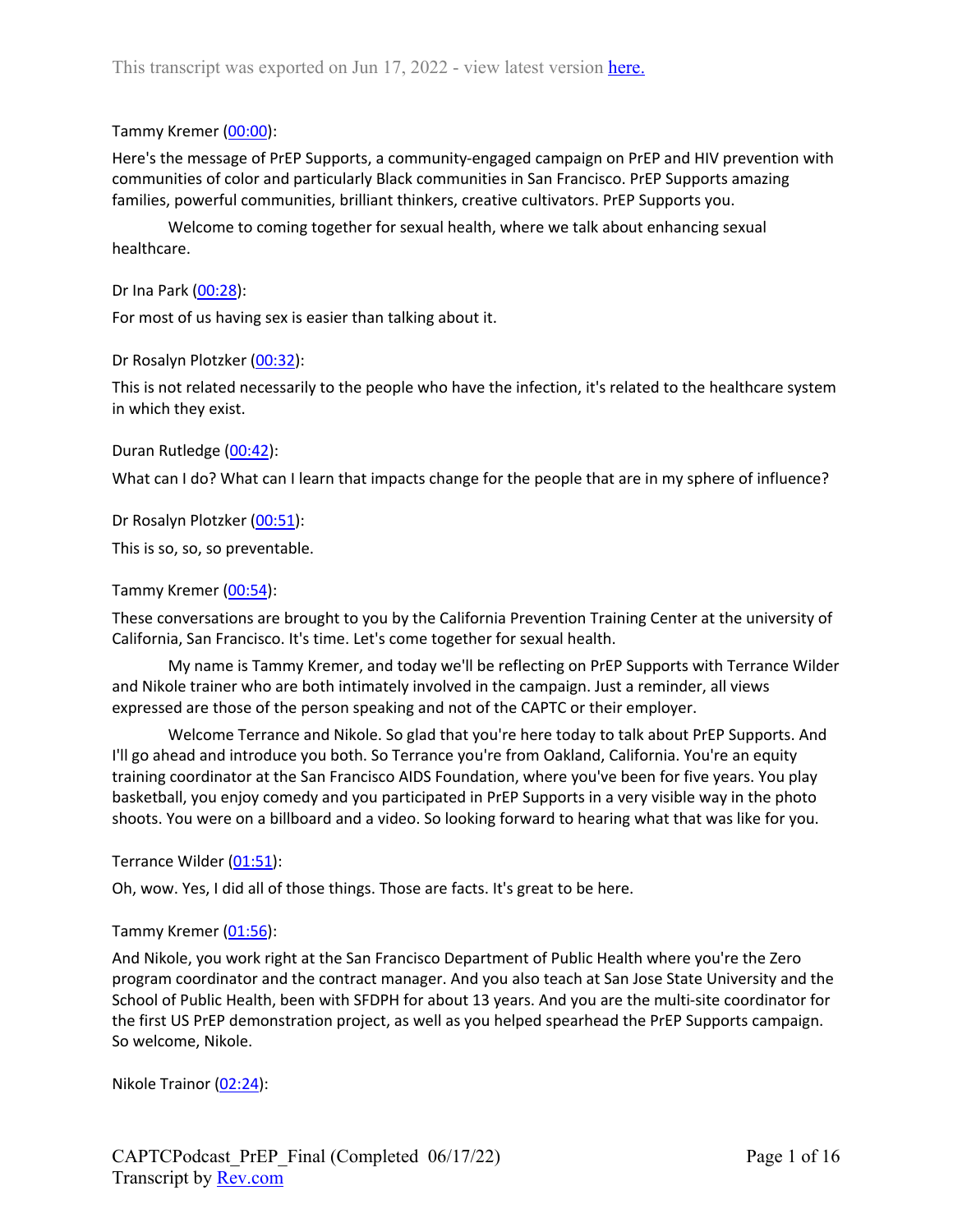### Tammy Kremer (00:00):

Here's the message of PrEP Supports, a community-engaged campaign on PrEP and HIV prevention with communities of color and particularly Black communities in San Francisco. PrEP Supports amazing families, powerful communities, brilliant thinkers, creative cultivators. PrEP Supports you.

Welcome to coming together for sexual health, where we talk about enhancing sexual healthcare.

Dr Ina Park (00:28):

For most of us having sex is easier than talking about it.

Dr Rosalyn Plotzker (00:32):

This is not related necessarily to the people who have the infection, it's related to the healthcare system in which they exist.

Duran Rutledge (00:42):

What can I do? What can I learn that impacts change for the people that are in my sphere of influence?

Dr Rosalyn Plotzker (00:51):

This is so, so, so preventable.

Tammy Kremer (00:54):

These conversations are brought to you by the California Prevention Training Center at the university of California, San Francisco. It's time. Let's come together for sexual health.

My name is Tammy Kremer, and today we'll be reflecting on PrEP Supports with Terrance Wilder and Nikole trainer who are both intimately involved in the campaign. Just a reminder, all views expressed are those of the person speaking and not of the CAPTC or their employer.

Welcome Terrance and Nikole. So glad that you're here today to talk about PrEP Supports. And I'll go ahead and introduce you both. So Terrance you're from Oakland, California. You're an equity training coordinator at the San Francisco AIDS Foundation, where you've been for five years. You play basketball, you enjoy comedy and you participated in PrEP Supports in a very visible way in the photo shoots. You were on a billboard and a video. So looking forward to hearing what that was like for you.

Terrance Wilder (01:51):

Oh, wow. Yes, I did all of those things. Those are facts. It's great to be here.

#### Tammy Kremer (01:56):

And Nikole, you work right at the San Francisco Department of Public Health where you're the Zero program coordinator and the contract manager. And you also teach at San Jose State University and the School of Public Health, been with SFDPH for about 13 years. And you are the multi-site coordinator for the first US PrEP demonstration project, as well as you helped spearhead the PrEP Supports campaign. So welcome, Nikole.

Nikole Trainor (02:24):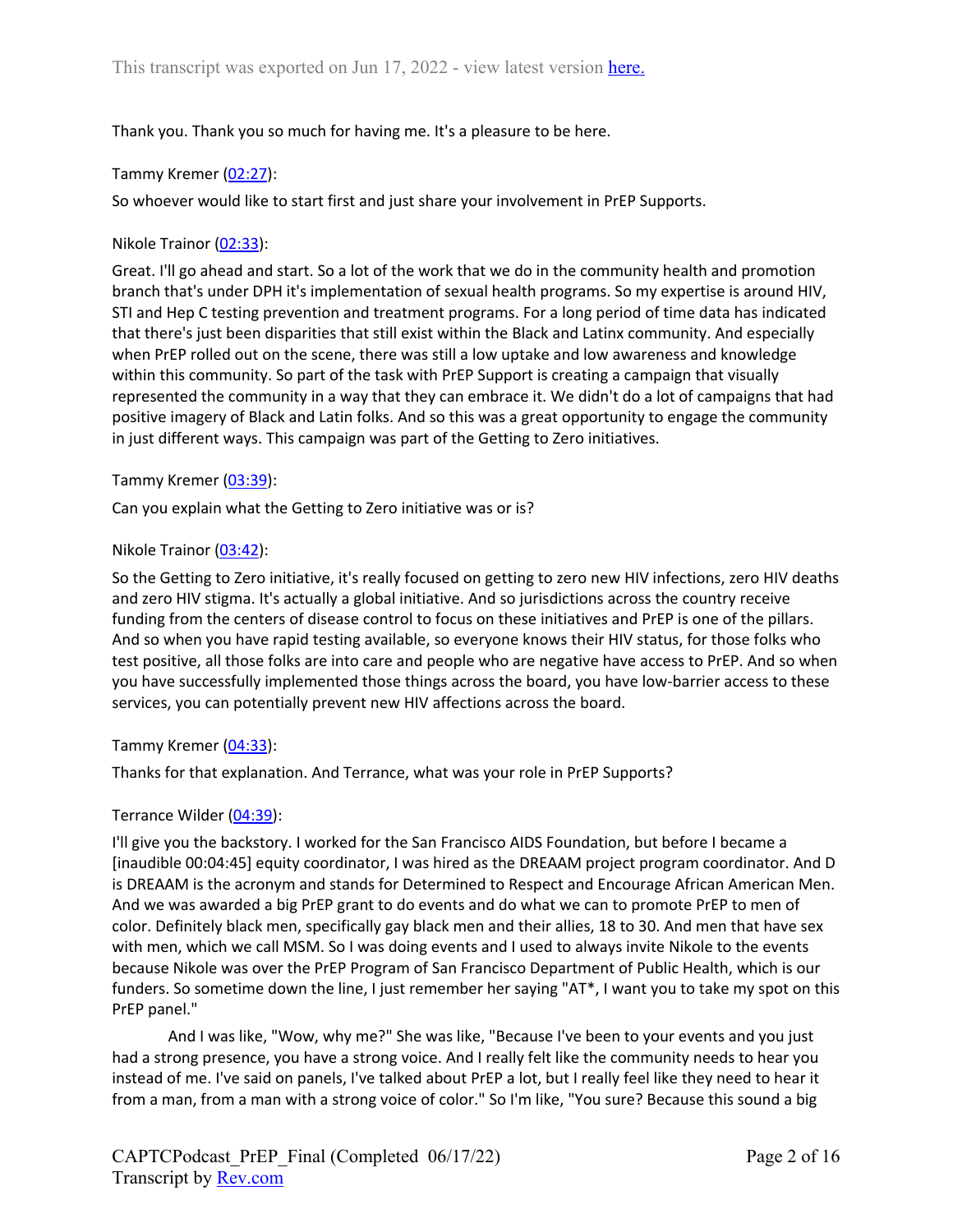## Thank you. Thank you so much for having me. It's a pleasure to be here.

#### Tammy Kremer (02:27):

So whoever would like to start first and just share your involvement in PrEP Supports.

#### Nikole Trainor (02:33):

Great. I'll go ahead and start. So a lot of the work that we do in the community health and promotion branch that's under DPH it's implementation of sexual health programs. So my expertise is around HIV, STI and Hep C testing prevention and treatment programs. For a long period of time data has indicated that there's just been disparities that still exist within the Black and Latinx community. And especially when PrEP rolled out on the scene, there was still a low uptake and low awareness and knowledge within this community. So part of the task with PrEP Support is creating a campaign that visually represented the community in a way that they can embrace it. We didn't do a lot of campaigns that had positive imagery of Black and Latin folks. And so this was a great opportunity to engage the community in just different ways. This campaign was part of the Getting to Zero initiatives.

#### Tammy Kremer (03:39):

Can you explain what the Getting to Zero initiative was or is?

#### Nikole Trainor (03:42):

So the Getting to Zero initiative, it's really focused on getting to zero new HIV infections, zero HIV deaths and zero HIV stigma. It's actually a global initiative. And so jurisdictions across the country receive funding from the centers of disease control to focus on these initiatives and PrEP is one of the pillars. And so when you have rapid testing available, so everyone knows their HIV status, for those folks who test positive, all those folks are into care and people who are negative have access to PrEP. And so when you have successfully implemented those things across the board, you have low-barrier access to these services, you can potentially prevent new HIV affections across the board.

#### Tammy Kremer (04:33):

Thanks for that explanation. And Terrance, what was your role in PrEP Supports?

#### Terrance Wilder (04:39):

I'll give you the backstory. I worked for the San Francisco AIDS Foundation, but before I became a [inaudible 00:04:45] equity coordinator, I was hired as the DREAAM project program coordinator. And D is DREAAM is the acronym and stands for Determined to Respect and Encourage African American Men. And we was awarded a big PrEP grant to do events and do what we can to promote PrEP to men of color. Definitely black men, specifically gay black men and their allies, 18 to 30. And men that have sex with men, which we call MSM. So I was doing events and I used to always invite Nikole to the events because Nikole was over the PrEP Program of San Francisco Department of Public Health, which is our funders. So sometime down the line, I just remember her saying "AT\*, I want you to take my spot on this PrEP panel."

And I was like, "Wow, why me?" She was like, "Because I've been to your events and you just had a strong presence, you have a strong voice. And I really felt like the community needs to hear you instead of me. I've said on panels, I've talked about PrEP a lot, but I really feel like they need to hear it from a man, from a man with a strong voice of color." So I'm like, "You sure? Because this sound a big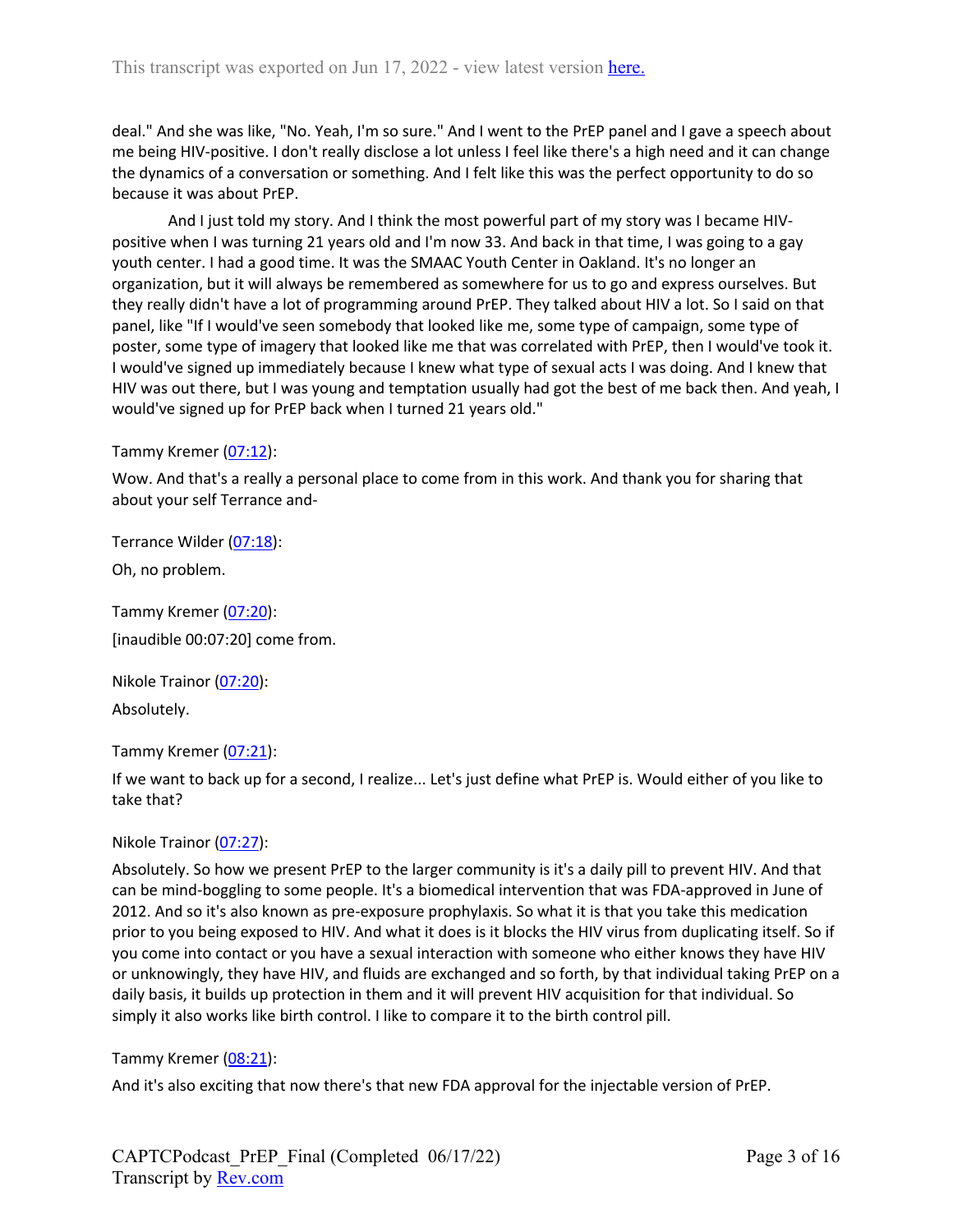deal." And she was like, "No. Yeah, I'm so sure." And I went to the PrEP panel and I gave a speech about me being HIV-positive. I don't really disclose a lot unless I feel like there's a high need and it can change the dynamics of a conversation or something. And I felt like this was the perfect opportunity to do so because it was about PrEP.

And I just told my story. And I think the most powerful part of my story was I became HIVpositive when I was turning 21 years old and I'm now 33. And back in that time, I was going to a gay youth center. I had a good time. It was the SMAAC Youth Center in Oakland. It's no longer an organization, but it will always be remembered as somewhere for us to go and express ourselves. But they really didn't have a lot of programming around PrEP. They talked about HIV a lot. So I said on that panel, like "If I would've seen somebody that looked like me, some type of campaign, some type of poster, some type of imagery that looked like me that was correlated with PrEP, then I would've took it. I would've signed up immediately because I knew what type of sexual acts I was doing. And I knew that HIV was out there, but I was young and temptation usually had got the best of me back then. And yeah, I would've signed up for PrEP back when I turned 21 years old."

#### Tammy Kremer (07:12):

Wow. And that's a really a personal place to come from in this work. And thank you for sharing that about your self Terrance and-

Terrance Wilder (07:18):

Oh, no problem.

Tammy Kremer (07:20): [inaudible 00:07:20] come from.

Nikole Trainor (07:20): Absolutely.

Tammy Kremer (07:21):

If we want to back up for a second, I realize... Let's just define what PrEP is. Would either of you like to take that?

Nikole Trainor (07:27):

Absolutely. So how we present PrEP to the larger community is it's a daily pill to prevent HIV. And that can be mind-boggling to some people. It's a biomedical intervention that was FDA-approved in June of 2012. And so it's also known as pre-exposure prophylaxis. So what it is that you take this medication prior to you being exposed to HIV. And what it does is it blocks the HIV virus from duplicating itself. So if you come into contact or you have a sexual interaction with someone who either knows they have HIV or unknowingly, they have HIV, and fluids are exchanged and so forth, by that individual taking PrEP on a daily basis, it builds up protection in them and it will prevent HIV acquisition for that individual. So simply it also works like birth control. I like to compare it to the birth control pill.

#### Tammy Kremer (08:21):

And it's also exciting that now there's that new FDA approval for the injectable version of PrEP.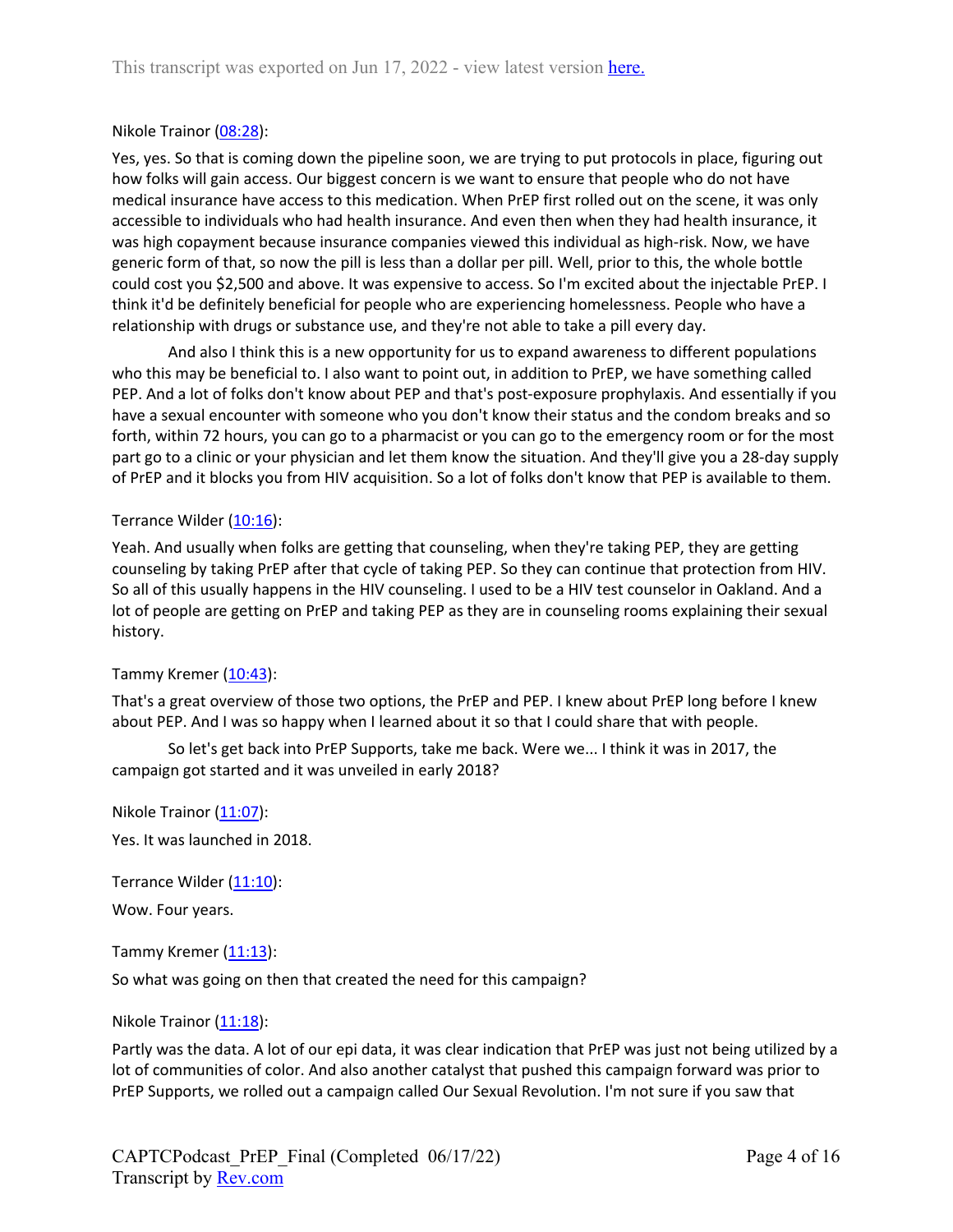### Nikole Trainor (08:28):

Yes, yes. So that is coming down the pipeline soon, we are trying to put protocols in place, figuring out how folks will gain access. Our biggest concern is we want to ensure that people who do not have medical insurance have access to this medication. When PrEP first rolled out on the scene, it was only accessible to individuals who had health insurance. And even then when they had health insurance, it was high copayment because insurance companies viewed this individual as high-risk. Now, we have generic form of that, so now the pill is less than a dollar per pill. Well, prior to this, the whole bottle could cost you \$2,500 and above. It was expensive to access. So I'm excited about the injectable PrEP. I think it'd be definitely beneficial for people who are experiencing homelessness. People who have a relationship with drugs or substance use, and they're not able to take a pill every day.

And also I think this is a new opportunity for us to expand awareness to different populations who this may be beneficial to. I also want to point out, in addition to PrEP, we have something called PEP. And a lot of folks don't know about PEP and that's post-exposure prophylaxis. And essentially if you have a sexual encounter with someone who you don't know their status and the condom breaks and so forth, within 72 hours, you can go to a pharmacist or you can go to the emergency room or for the most part go to a clinic or your physician and let them know the situation. And they'll give you a 28-day supply of PrEP and it blocks you from HIV acquisition. So a lot of folks don't know that PEP is available to them.

#### Terrance Wilder (10:16):

Yeah. And usually when folks are getting that counseling, when they're taking PEP, they are getting counseling by taking PrEP after that cycle of taking PEP. So they can continue that protection from HIV. So all of this usually happens in the HIV counseling. I used to be a HIV test counselor in Oakland. And a lot of people are getting on PrEP and taking PEP as they are in counseling rooms explaining their sexual history.

#### Tammy Kremer (10:43):

That's a great overview of those two options, the PrEP and PEP. I knew about PrEP long before I knew about PEP. And I was so happy when I learned about it so that I could share that with people.

So let's get back into PrEP Supports, take me back. Were we... I think it was in 2017, the campaign got started and it was unveiled in early 2018?

Nikole Trainor  $(11:07)$ : Yes. It was launched in 2018.

Terrance Wilder (11:10):

Wow. Four years.

Tammy Kremer  $(11:13)$ :

So what was going on then that created the need for this campaign?

#### Nikole Trainor  $(11:18)$ :

Partly was the data. A lot of our epi data, it was clear indication that PrEP was just not being utilized by a lot of communities of color. And also another catalyst that pushed this campaign forward was prior to PrEP Supports, we rolled out a campaign called Our Sexual Revolution. I'm not sure if you saw that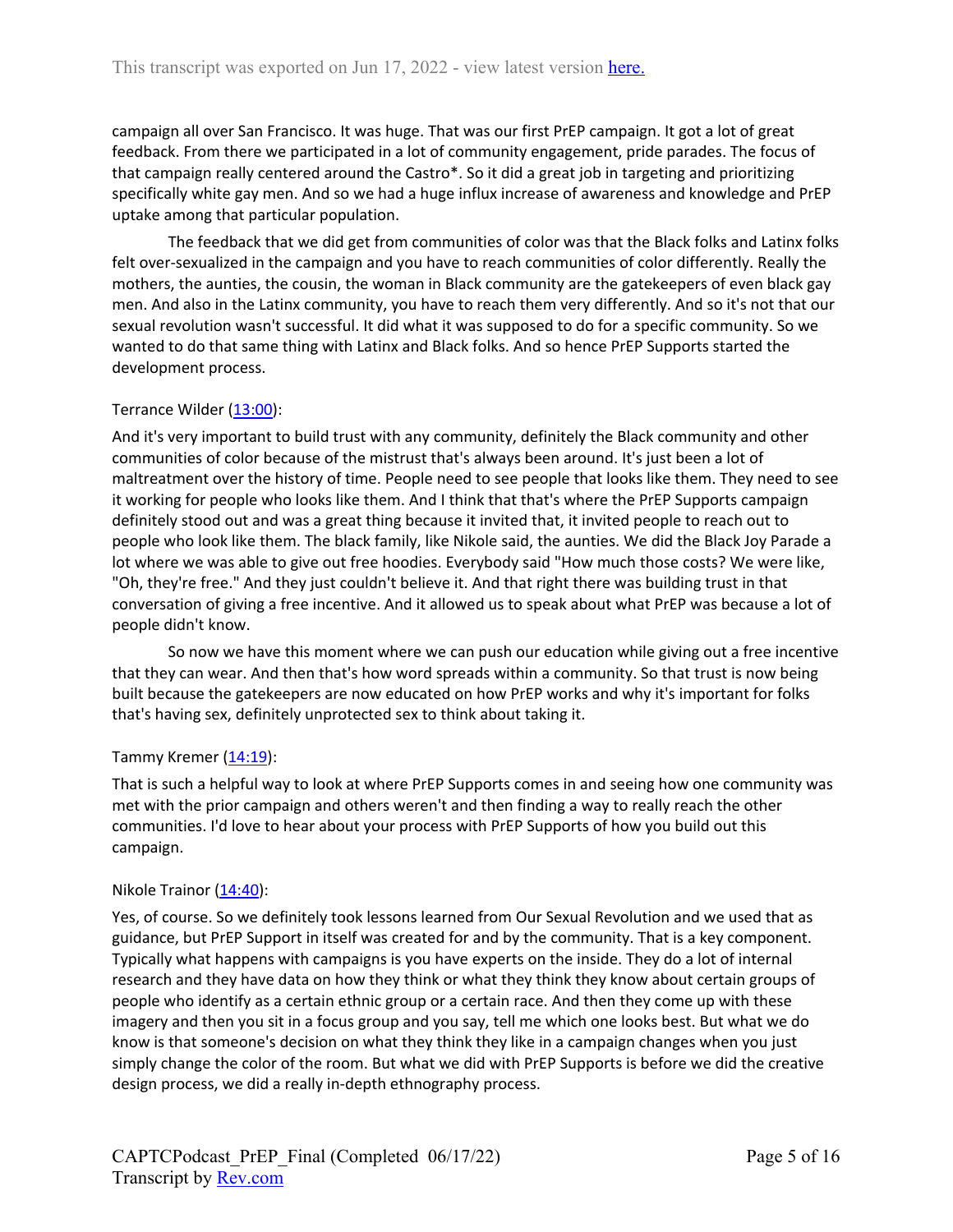campaign all over San Francisco. It was huge. That was our first PrEP campaign. It got a lot of great feedback. From there we participated in a lot of community engagement, pride parades. The focus of that campaign really centered around the Castro\*. So it did a great job in targeting and prioritizing specifically white gay men. And so we had a huge influx increase of awareness and knowledge and PrEP uptake among that particular population.

The feedback that we did get from communities of color was that the Black folks and Latinx folks felt over-sexualized in the campaign and you have to reach communities of color differently. Really the mothers, the aunties, the cousin, the woman in Black community are the gatekeepers of even black gay men. And also in the Latinx community, you have to reach them very differently. And so it's not that our sexual revolution wasn't successful. It did what it was supposed to do for a specific community. So we wanted to do that same thing with Latinx and Black folks. And so hence PrEP Supports started the development process.

## Terrance Wilder (13:00):

And it's very important to build trust with any community, definitely the Black community and other communities of color because of the mistrust that's always been around. It's just been a lot of maltreatment over the history of time. People need to see people that looks like them. They need to see it working for people who looks like them. And I think that that's where the PrEP Supports campaign definitely stood out and was a great thing because it invited that, it invited people to reach out to people who look like them. The black family, like Nikole said, the aunties. We did the Black Joy Parade a lot where we was able to give out free hoodies. Everybody said "How much those costs? We were like, "Oh, they're free." And they just couldn't believe it. And that right there was building trust in that conversation of giving a free incentive. And it allowed us to speak about what PrEP was because a lot of people didn't know.

So now we have this moment where we can push our education while giving out a free incentive that they can wear. And then that's how word spreads within a community. So that trust is now being built because the gatekeepers are now educated on how PrEP works and why it's important for folks that's having sex, definitely unprotected sex to think about taking it.

#### Tammy Kremer  $(14:19)$ :

That is such a helpful way to look at where PrEP Supports comes in and seeing how one community was met with the prior campaign and others weren't and then finding a way to really reach the other communities. I'd love to hear about your process with PrEP Supports of how you build out this campaign.

#### Nikole Trainor (14:40):

Yes, of course. So we definitely took lessons learned from Our Sexual Revolution and we used that as guidance, but PrEP Support in itself was created for and by the community. That is a key component. Typically what happens with campaigns is you have experts on the inside. They do a lot of internal research and they have data on how they think or what they think they know about certain groups of people who identify as a certain ethnic group or a certain race. And then they come up with these imagery and then you sit in a focus group and you say, tell me which one looks best. But what we do know is that someone's decision on what they think they like in a campaign changes when you just simply change the color of the room. But what we did with PrEP Supports is before we did the creative design process, we did a really in-depth ethnography process.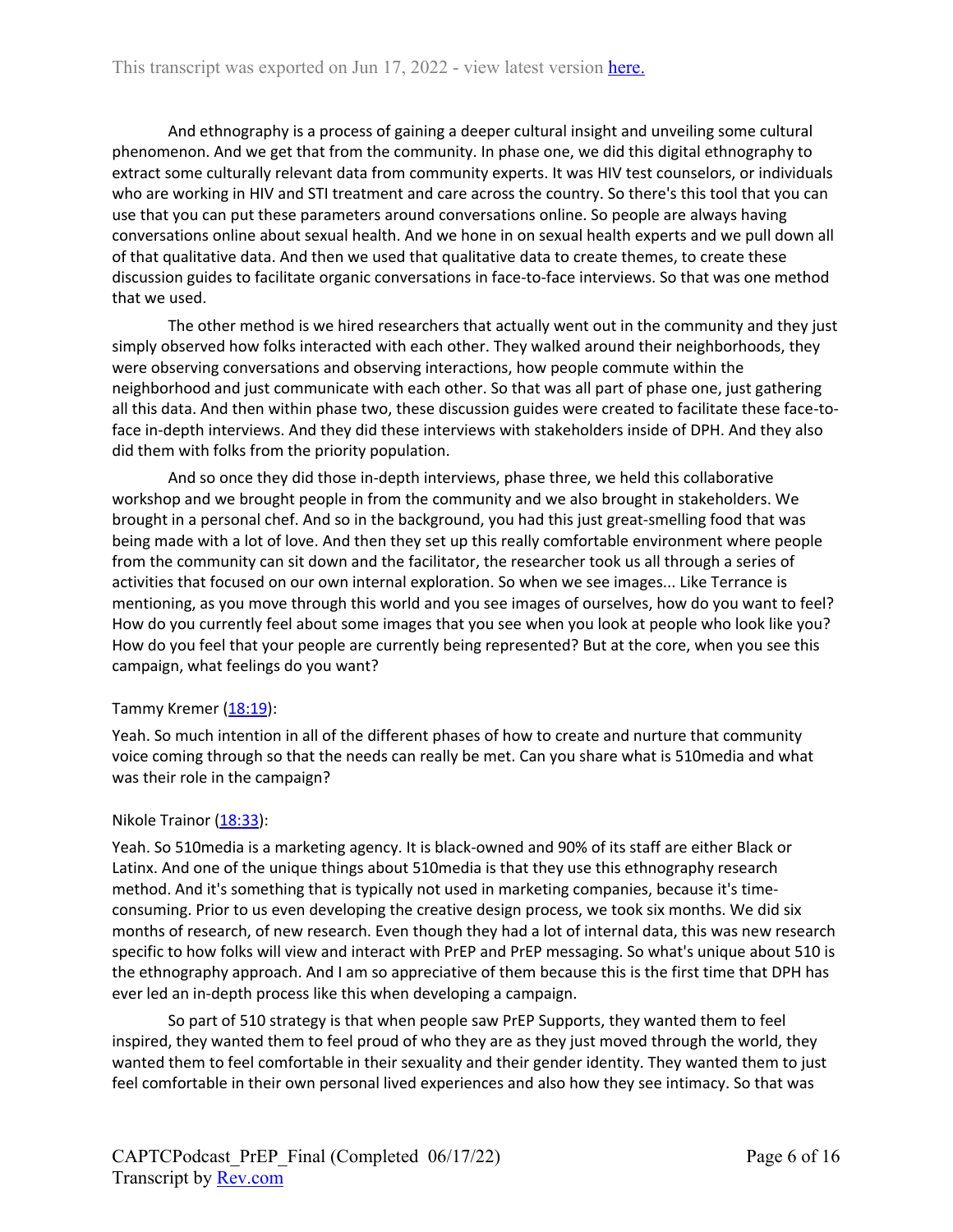And ethnography is a process of gaining a deeper cultural insight and unveiling some cultural phenomenon. And we get that from the community. In phase one, we did this digital ethnography to extract some culturally relevant data from community experts. It was HIV test counselors, or individuals who are working in HIV and STI treatment and care across the country. So there's this tool that you can use that you can put these parameters around conversations online. So people are always having conversations online about sexual health. And we hone in on sexual health experts and we pull down all of that qualitative data. And then we used that qualitative data to create themes, to create these discussion guides to facilitate organic conversations in face-to-face interviews. So that was one method that we used.

The other method is we hired researchers that actually went out in the community and they just simply observed how folks interacted with each other. They walked around their neighborhoods, they were observing conversations and observing interactions, how people commute within the neighborhood and just communicate with each other. So that was all part of phase one, just gathering all this data. And then within phase two, these discussion guides were created to facilitate these face-toface in-depth interviews. And they did these interviews with stakeholders inside of DPH. And they also did them with folks from the priority population.

And so once they did those in-depth interviews, phase three, we held this collaborative workshop and we brought people in from the community and we also brought in stakeholders. We brought in a personal chef. And so in the background, you had this just great-smelling food that was being made with a lot of love. And then they set up this really comfortable environment where people from the community can sit down and the facilitator, the researcher took us all through a series of activities that focused on our own internal exploration. So when we see images... Like Terrance is mentioning, as you move through this world and you see images of ourselves, how do you want to feel? How do you currently feel about some images that you see when you look at people who look like you? How do you feel that your people are currently being represented? But at the core, when you see this campaign, what feelings do you want?

#### Tammy Kremer (18:19):

Yeah. So much intention in all of the different phases of how to create and nurture that community voice coming through so that the needs can really be met. Can you share what is 510media and what was their role in the campaign?

#### Nikole Trainor (18:33):

Yeah. So 510media is a marketing agency. It is black-owned and 90% of its staff are either Black or Latinx. And one of the unique things about 510media is that they use this ethnography research method. And it's something that is typically not used in marketing companies, because it's timeconsuming. Prior to us even developing the creative design process, we took six months. We did six months of research, of new research. Even though they had a lot of internal data, this was new research specific to how folks will view and interact with PrEP and PrEP messaging. So what's unique about 510 is the ethnography approach. And I am so appreciative of them because this is the first time that DPH has ever led an in-depth process like this when developing a campaign.

So part of 510 strategy is that when people saw PrEP Supports, they wanted them to feel inspired, they wanted them to feel proud of who they are as they just moved through the world, they wanted them to feel comfortable in their sexuality and their gender identity. They wanted them to just feel comfortable in their own personal lived experiences and also how they see intimacy. So that was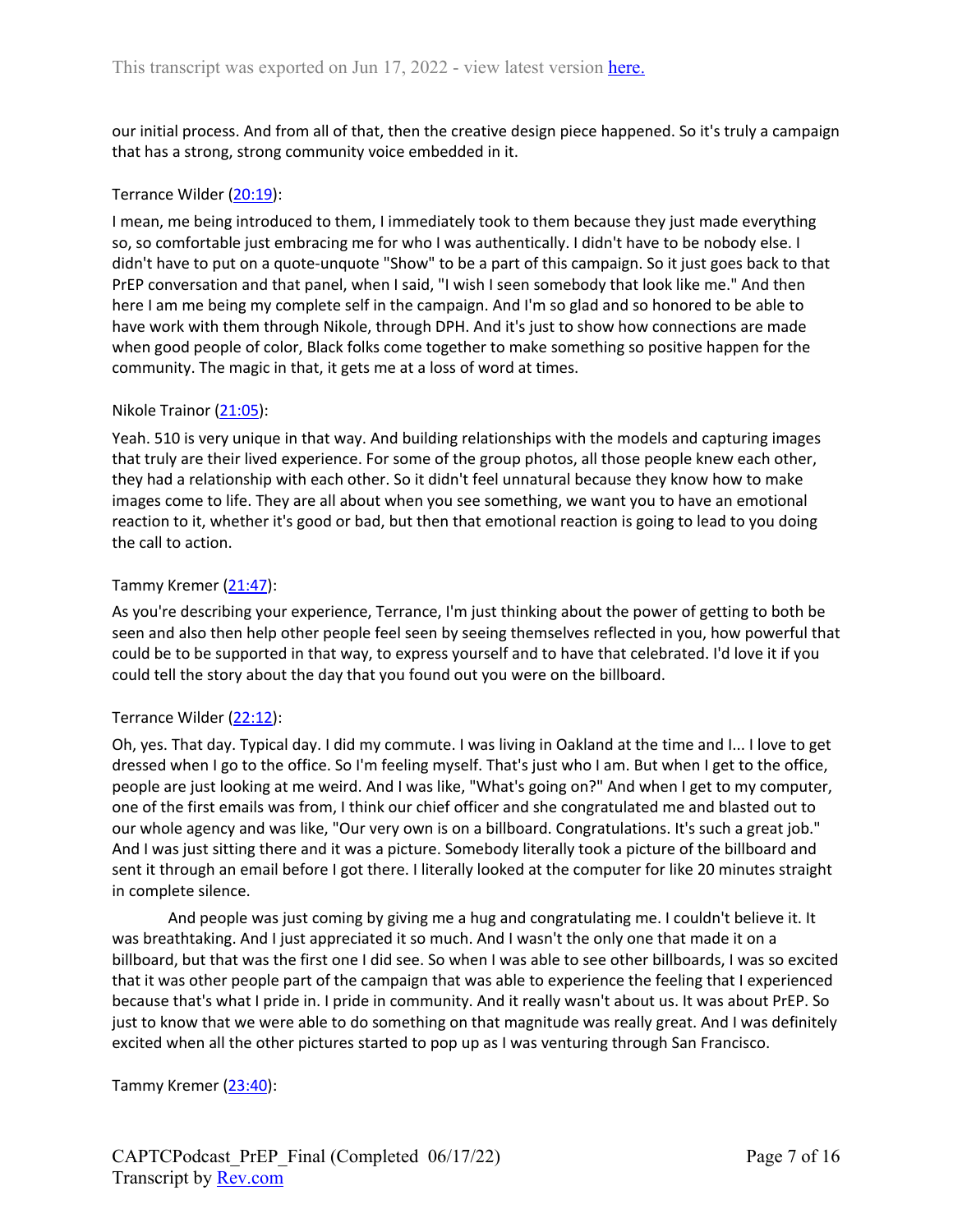our initial process. And from all of that, then the creative design piece happened. So it's truly a campaign that has a strong, strong community voice embedded in it.

## Terrance Wilder (20:19):

I mean, me being introduced to them, I immediately took to them because they just made everything so, so comfortable just embracing me for who I was authentically. I didn't have to be nobody else. I didn't have to put on a quote-unquote "Show" to be a part of this campaign. So it just goes back to that PrEP conversation and that panel, when I said, "I wish I seen somebody that look like me." And then here I am me being my complete self in the campaign. And I'm so glad and so honored to be able to have work with them through Nikole, through DPH. And it's just to show how connections are made when good people of color, Black folks come together to make something so positive happen for the community. The magic in that, it gets me at a loss of word at times.

#### Nikole Trainor (21:05):

Yeah. 510 is very unique in that way. And building relationships with the models and capturing images that truly are their lived experience. For some of the group photos, all those people knew each other, they had a relationship with each other. So it didn't feel unnatural because they know how to make images come to life. They are all about when you see something, we want you to have an emotional reaction to it, whether it's good or bad, but then that emotional reaction is going to lead to you doing the call to action.

#### Tammy Kremer (21:47):

As you're describing your experience, Terrance, I'm just thinking about the power of getting to both be seen and also then help other people feel seen by seeing themselves reflected in you, how powerful that could be to be supported in that way, to express yourself and to have that celebrated. I'd love it if you could tell the story about the day that you found out you were on the billboard.

#### Terrance Wilder (22:12):

Oh, yes. That day. Typical day. I did my commute. I was living in Oakland at the time and I... I love to get dressed when I go to the office. So I'm feeling myself. That's just who I am. But when I get to the office, people are just looking at me weird. And I was like, "What's going on?" And when I get to my computer, one of the first emails was from, I think our chief officer and she congratulated me and blasted out to our whole agency and was like, "Our very own is on a billboard. Congratulations. It's such a great job." And I was just sitting there and it was a picture. Somebody literally took a picture of the billboard and sent it through an email before I got there. I literally looked at the computer for like 20 minutes straight in complete silence.

And people was just coming by giving me a hug and congratulating me. I couldn't believe it. It was breathtaking. And I just appreciated it so much. And I wasn't the only one that made it on a billboard, but that was the first one I did see. So when I was able to see other billboards, I was so excited that it was other people part of the campaign that was able to experience the feeling that I experienced because that's what I pride in. I pride in community. And it really wasn't about us. It was about PrEP. So just to know that we were able to do something on that magnitude was really great. And I was definitely excited when all the other pictures started to pop up as I was venturing through San Francisco.

Tammy Kremer (23:40):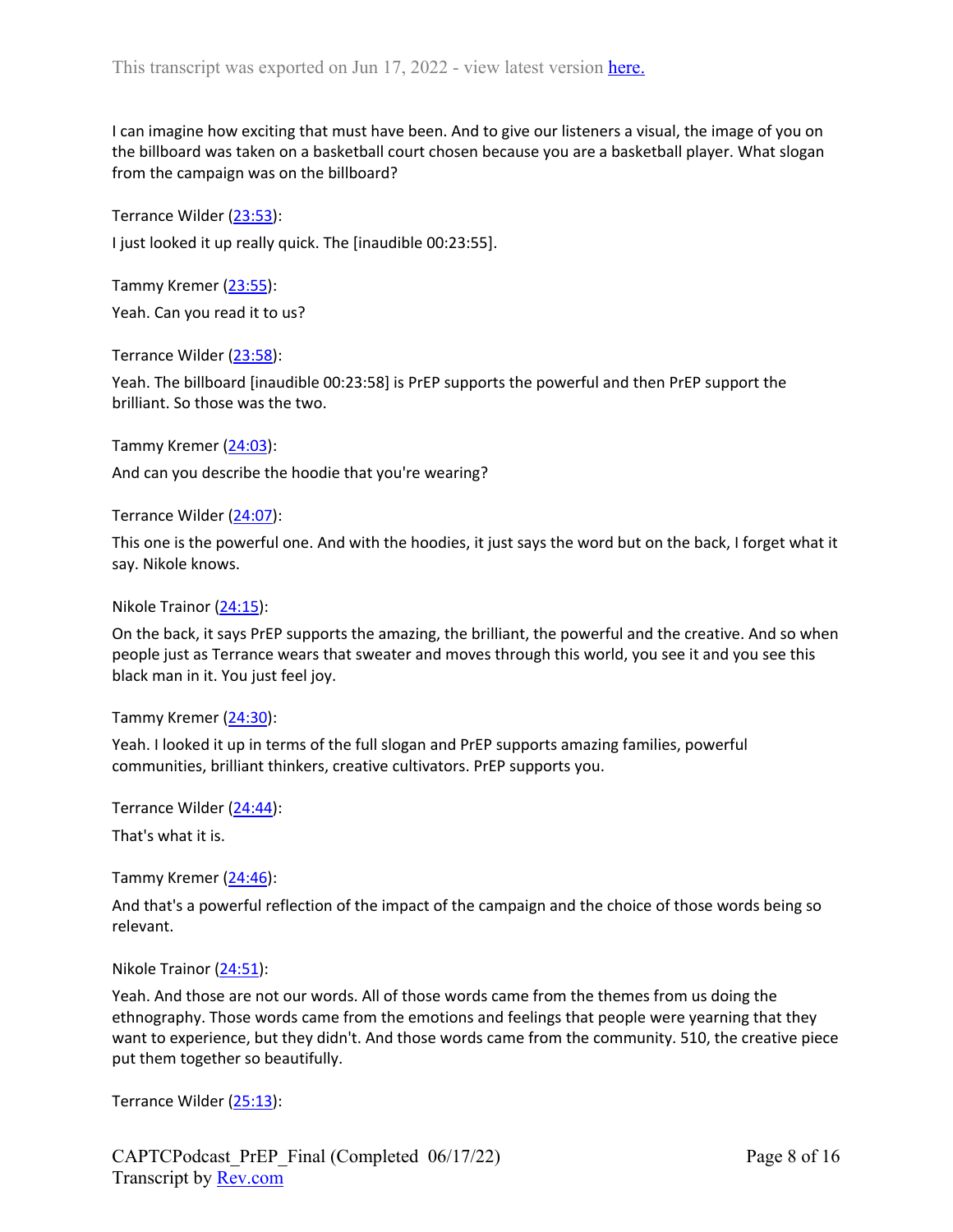I can imagine how exciting that must have been. And to give our listeners a visual, the image of you on the billboard was taken on a basketball court chosen because you are a basketball player. What slogan from the campaign was on the billboard?

Terrance Wilder (23:53):

I just looked it up really quick. The [inaudible 00:23:55].

Tammy Kremer (23:55):

Yeah. Can you read it to us?

Terrance Wilder (23:58):

Yeah. The billboard [inaudible 00:23:58] is PrEP supports the powerful and then PrEP support the brilliant. So those was the two.

Tammy Kremer (24:03):

And can you describe the hoodie that you're wearing?

Terrance Wilder (24:07):

This one is the powerful one. And with the hoodies, it just says the word but on the back, I forget what it say. Nikole knows.

Nikole Trainor (24:15):

On the back, it says PrEP supports the amazing, the brilliant, the powerful and the creative. And so when people just as Terrance wears that sweater and moves through this world, you see it and you see this black man in it. You just feel joy.

Tammy Kremer (24:30):

Yeah. I looked it up in terms of the full slogan and PrEP supports amazing families, powerful communities, brilliant thinkers, creative cultivators. PrEP supports you.

Terrance Wilder (24:44):

That's what it is.

Tammy Kremer (24:46):

And that's a powerful reflection of the impact of the campaign and the choice of those words being so relevant.

Nikole Trainor (24:51):

Yeah. And those are not our words. All of those words came from the themes from us doing the ethnography. Those words came from the emotions and feelings that people were yearning that they want to experience, but they didn't. And those words came from the community. 510, the creative piece put them together so beautifully.

Terrance Wilder (25:13):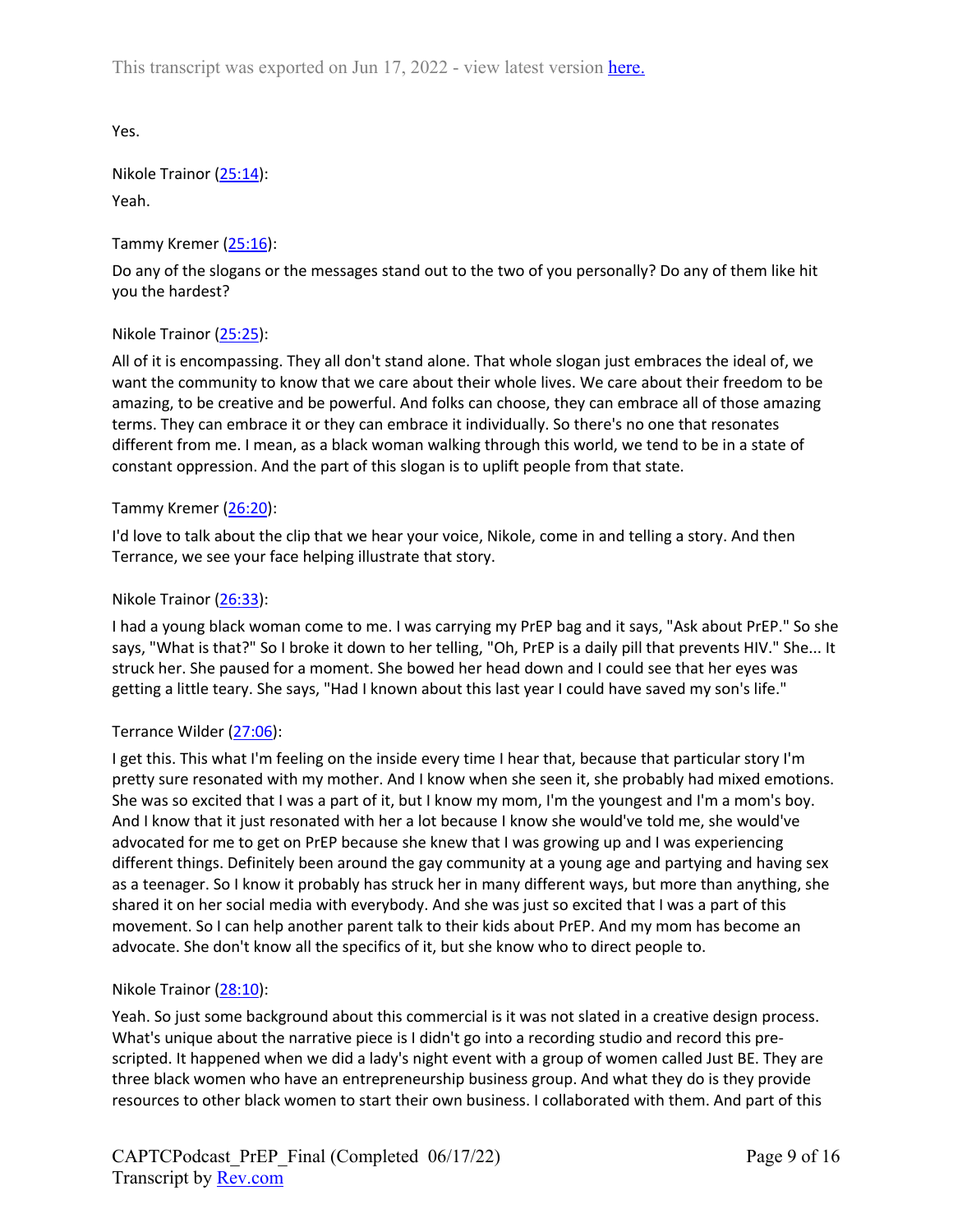Yes.

Nikole Trainor (25:14): Yeah.

Tammy Kremer (25:16):

Do any of the slogans or the messages stand out to the two of you personally? Do any of them like hit you the hardest?

# Nikole Trainor (25:25):

All of it is encompassing. They all don't stand alone. That whole slogan just embraces the ideal of, we want the community to know that we care about their whole lives. We care about their freedom to be amazing, to be creative and be powerful. And folks can choose, they can embrace all of those amazing terms. They can embrace it or they can embrace it individually. So there's no one that resonates different from me. I mean, as a black woman walking through this world, we tend to be in a state of constant oppression. And the part of this slogan is to uplift people from that state.

## Tammy Kremer (26:20):

I'd love to talk about the clip that we hear your voice, Nikole, come in and telling a story. And then Terrance, we see your face helping illustrate that story.

## Nikole Trainor (26:33):

I had a young black woman come to me. I was carrying my PrEP bag and it says, "Ask about PrEP." So she says, "What is that?" So I broke it down to her telling, "Oh, PrEP is a daily pill that prevents HIV." She... It struck her. She paused for a moment. She bowed her head down and I could see that her eyes was getting a little teary. She says, "Had I known about this last year I could have saved my son's life."

#### Terrance Wilder (27:06):

I get this. This what I'm feeling on the inside every time I hear that, because that particular story I'm pretty sure resonated with my mother. And I know when she seen it, she probably had mixed emotions. She was so excited that I was a part of it, but I know my mom, I'm the youngest and I'm a mom's boy. And I know that it just resonated with her a lot because I know she would've told me, she would've advocated for me to get on PrEP because she knew that I was growing up and I was experiencing different things. Definitely been around the gay community at a young age and partying and having sex as a teenager. So I know it probably has struck her in many different ways, but more than anything, she shared it on her social media with everybody. And she was just so excited that I was a part of this movement. So I can help another parent talk to their kids about PrEP. And my mom has become an advocate. She don't know all the specifics of it, but she know who to direct people to.

#### Nikole Trainor (28:10):

Yeah. So just some background about this commercial is it was not slated in a creative design process. What's unique about the narrative piece is I didn't go into a recording studio and record this prescripted. It happened when we did a lady's night event with a group of women called Just BE. They are three black women who have an entrepreneurship business group. And what they do is they provide resources to other black women to start their own business. I collaborated with them. And part of this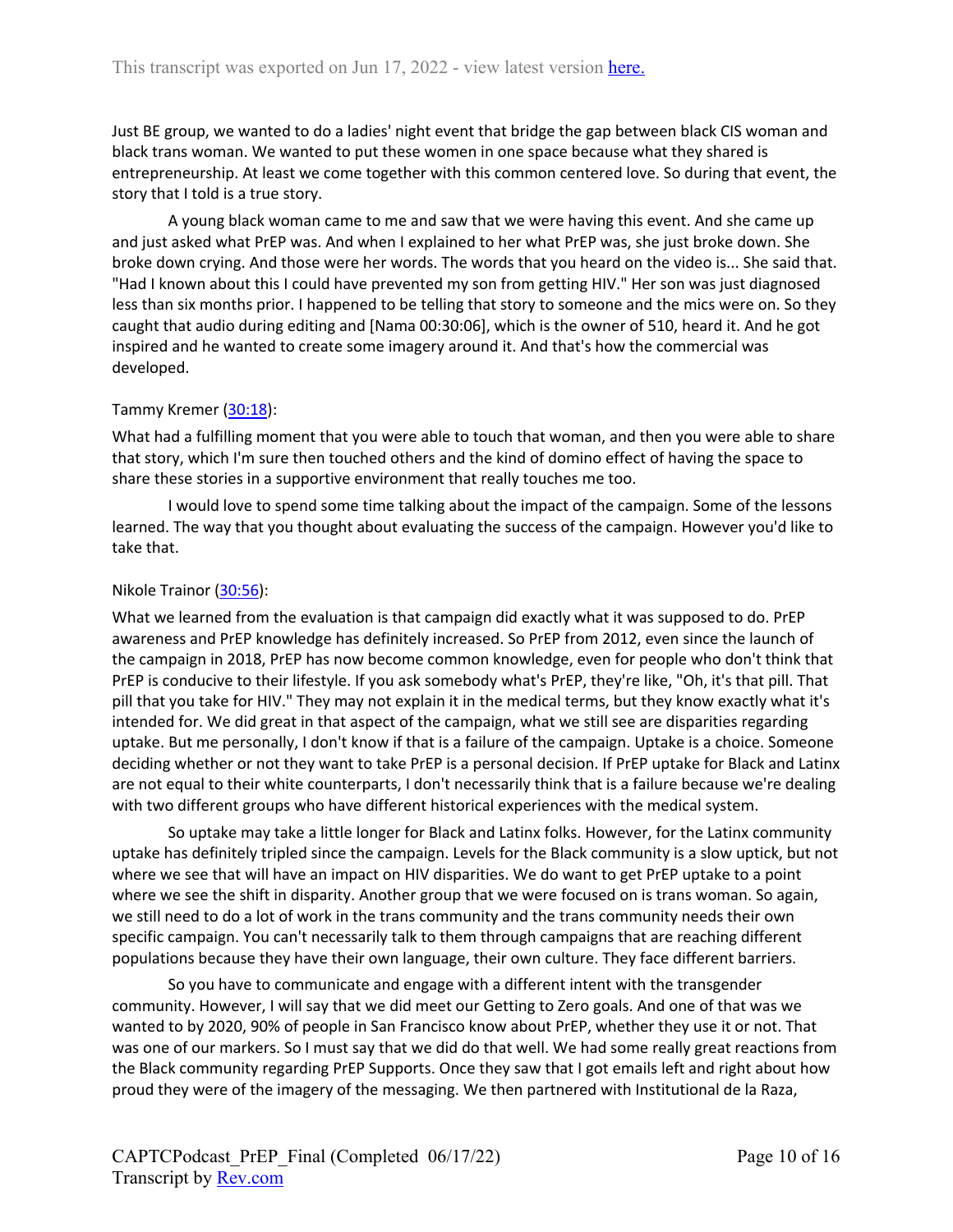Just BE group, we wanted to do a ladies' night event that bridge the gap between black CIS woman and black trans woman. We wanted to put these women in one space because what they shared is entrepreneurship. At least we come together with this common centered love. So during that event, the story that I told is a true story.

A young black woman came to me and saw that we were having this event. And she came up and just asked what PrEP was. And when I explained to her what PrEP was, she just broke down. She broke down crying. And those were her words. The words that you heard on the video is... She said that. "Had I known about this I could have prevented my son from getting HIV." Her son was just diagnosed less than six months prior. I happened to be telling that story to someone and the mics were on. So they caught that audio during editing and [Nama 00:30:06], which is the owner of 510, heard it. And he got inspired and he wanted to create some imagery around it. And that's how the commercial was developed.

#### Tammy Kremer (30:18):

What had a fulfilling moment that you were able to touch that woman, and then you were able to share that story, which I'm sure then touched others and the kind of domino effect of having the space to share these stories in a supportive environment that really touches me too.

I would love to spend some time talking about the impact of the campaign. Some of the lessons learned. The way that you thought about evaluating the success of the campaign. However you'd like to take that.

#### Nikole Trainor (30:56):

What we learned from the evaluation is that campaign did exactly what it was supposed to do. PrEP awareness and PrEP knowledge has definitely increased. So PrEP from 2012, even since the launch of the campaign in 2018, PrEP has now become common knowledge, even for people who don't think that PrEP is conducive to their lifestyle. If you ask somebody what's PrEP, they're like, "Oh, it's that pill. That pill that you take for HIV." They may not explain it in the medical terms, but they know exactly what it's intended for. We did great in that aspect of the campaign, what we still see are disparities regarding uptake. But me personally, I don't know if that is a failure of the campaign. Uptake is a choice. Someone deciding whether or not they want to take PrEP is a personal decision. If PrEP uptake for Black and Latinx are not equal to their white counterparts, I don't necessarily think that is a failure because we're dealing with two different groups who have different historical experiences with the medical system.

So uptake may take a little longer for Black and Latinx folks. However, for the Latinx community uptake has definitely tripled since the campaign. Levels for the Black community is a slow uptick, but not where we see that will have an impact on HIV disparities. We do want to get PrEP uptake to a point where we see the shift in disparity. Another group that we were focused on is trans woman. So again, we still need to do a lot of work in the trans community and the trans community needs their own specific campaign. You can't necessarily talk to them through campaigns that are reaching different populations because they have their own language, their own culture. They face different barriers.

So you have to communicate and engage with a different intent with the transgender community. However, I will say that we did meet our Getting to Zero goals. And one of that was we wanted to by 2020, 90% of people in San Francisco know about PrEP, whether they use it or not. That was one of our markers. So I must say that we did do that well. We had some really great reactions from the Black community regarding PrEP Supports. Once they saw that I got emails left and right about how proud they were of the imagery of the messaging. We then partnered with Institutional de la Raza,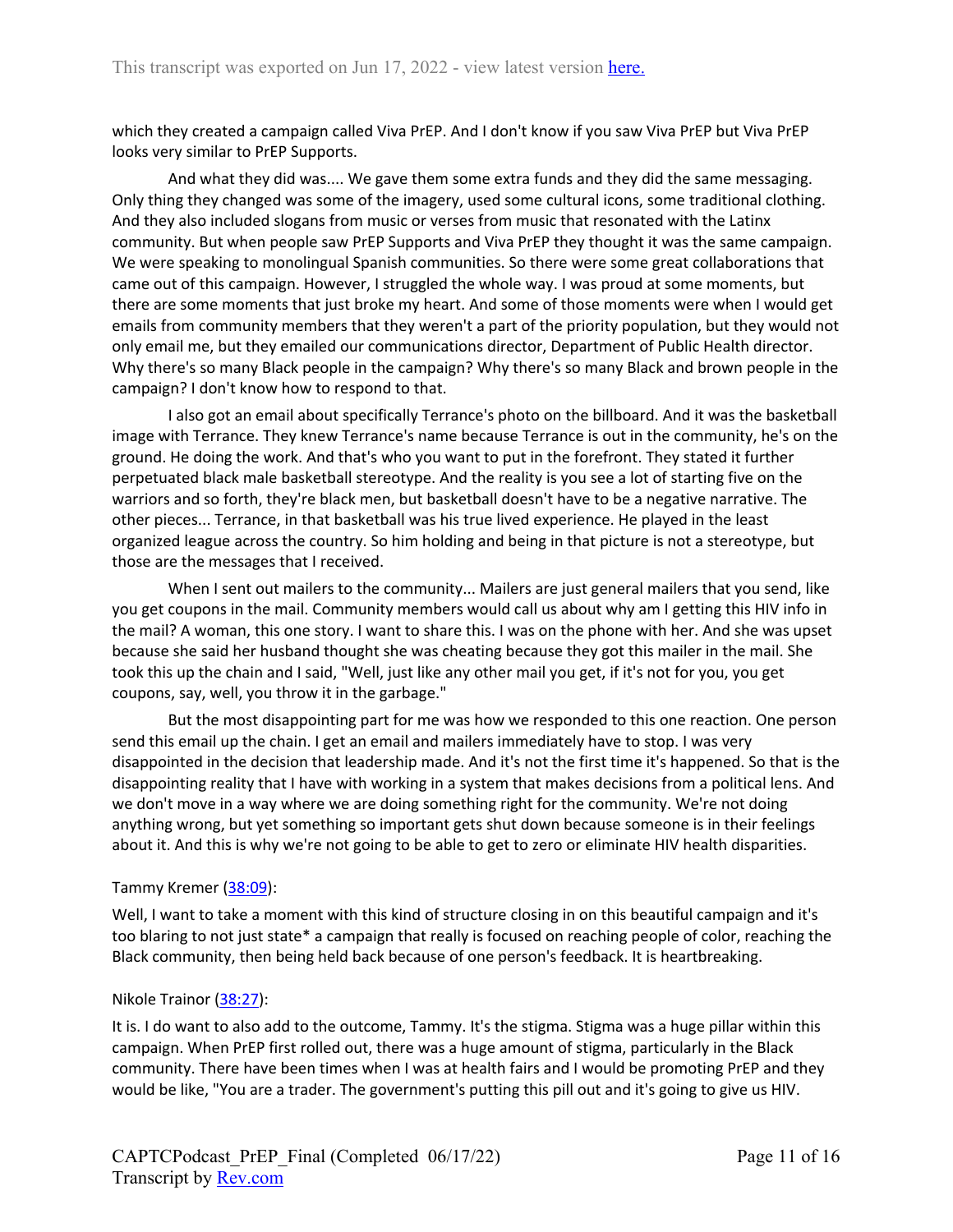which they created a campaign called Viva PrEP. And I don't know if you saw Viva PrEP but Viva PrEP looks very similar to PrEP Supports.

And what they did was.... We gave them some extra funds and they did the same messaging. Only thing they changed was some of the imagery, used some cultural icons, some traditional clothing. And they also included slogans from music or verses from music that resonated with the Latinx community. But when people saw PrEP Supports and Viva PrEP they thought it was the same campaign. We were speaking to monolingual Spanish communities. So there were some great collaborations that came out of this campaign. However, I struggled the whole way. I was proud at some moments, but there are some moments that just broke my heart. And some of those moments were when I would get emails from community members that they weren't a part of the priority population, but they would not only email me, but they emailed our communications director, Department of Public Health director. Why there's so many Black people in the campaign? Why there's so many Black and brown people in the campaign? I don't know how to respond to that.

I also got an email about specifically Terrance's photo on the billboard. And it was the basketball image with Terrance. They knew Terrance's name because Terrance is out in the community, he's on the ground. He doing the work. And that's who you want to put in the forefront. They stated it further perpetuated black male basketball stereotype. And the reality is you see a lot of starting five on the warriors and so forth, they're black men, but basketball doesn't have to be a negative narrative. The other pieces... Terrance, in that basketball was his true lived experience. He played in the least organized league across the country. So him holding and being in that picture is not a stereotype, but those are the messages that I received.

When I sent out mailers to the community... Mailers are just general mailers that you send, like you get coupons in the mail. Community members would call us about why am I getting this HIV info in the mail? A woman, this one story. I want to share this. I was on the phone with her. And she was upset because she said her husband thought she was cheating because they got this mailer in the mail. She took this up the chain and I said, "Well, just like any other mail you get, if it's not for you, you get coupons, say, well, you throw it in the garbage."

But the most disappointing part for me was how we responded to this one reaction. One person send this email up the chain. I get an email and mailers immediately have to stop. I was very disappointed in the decision that leadership made. And it's not the first time it's happened. So that is the disappointing reality that I have with working in a system that makes decisions from a political lens. And we don't move in a way where we are doing something right for the community. We're not doing anything wrong, but yet something so important gets shut down because someone is in their feelings about it. And this is why we're not going to be able to get to zero or eliminate HIV health disparities.

#### Tammy Kremer (38:09):

Well, I want to take a moment with this kind of structure closing in on this beautiful campaign and it's too blaring to not just state\* a campaign that really is focused on reaching people of color, reaching the Black community, then being held back because of one person's feedback. It is heartbreaking.

#### Nikole Trainor (38:27):

It is. I do want to also add to the outcome, Tammy. It's the stigma. Stigma was a huge pillar within this campaign. When PrEP first rolled out, there was a huge amount of stigma, particularly in the Black community. There have been times when I was at health fairs and I would be promoting PrEP and they would be like, "You are a trader. The government's putting this pill out and it's going to give us HIV.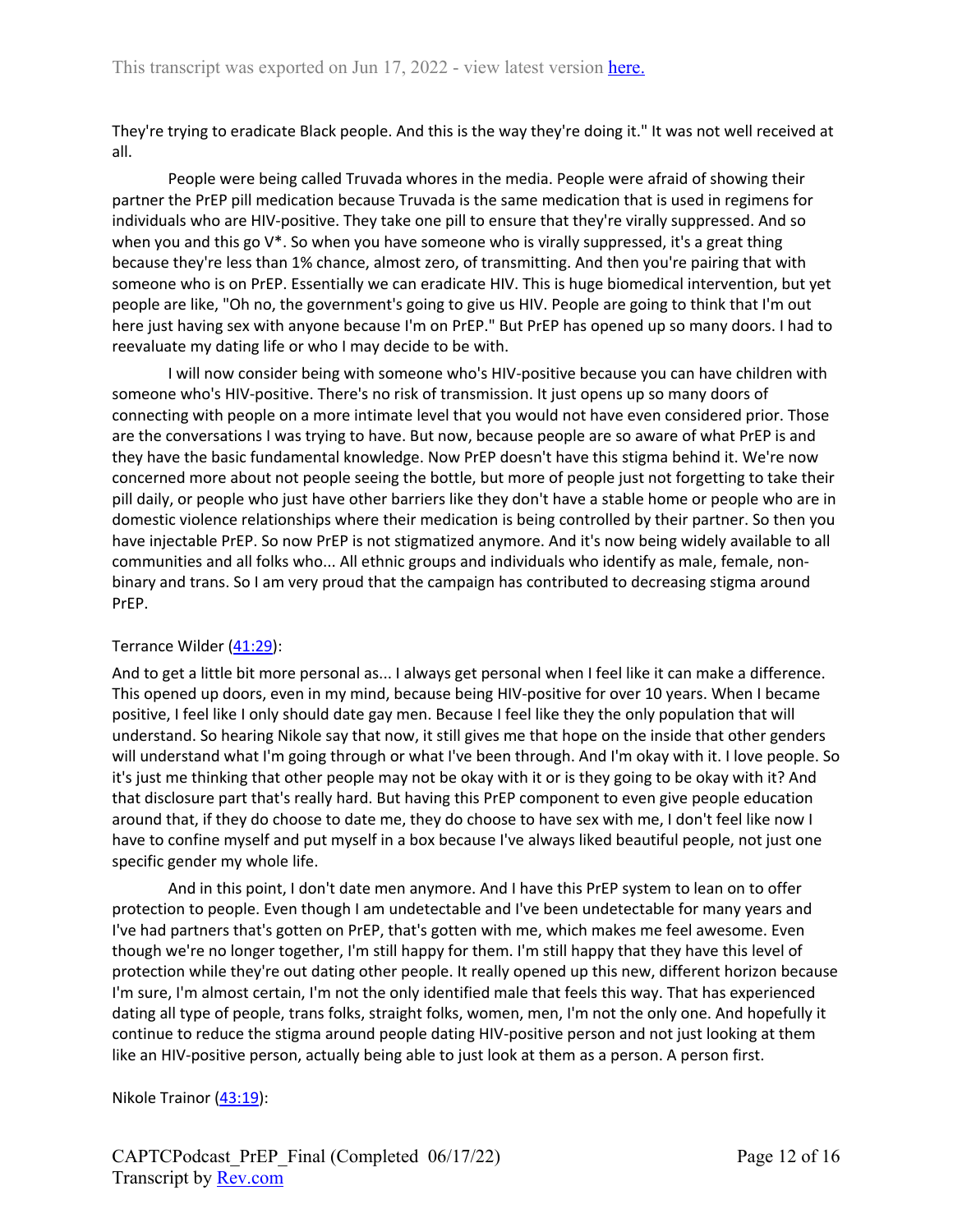They're trying to eradicate Black people. And this is the way they're doing it." It was not well received at all.

People were being called Truvada whores in the media. People were afraid of showing their partner the PrEP pill medication because Truvada is the same medication that is used in regimens for individuals who are HIV-positive. They take one pill to ensure that they're virally suppressed. And so when you and this go V<sup>\*</sup>. So when you have someone who is virally suppressed, it's a great thing because they're less than 1% chance, almost zero, of transmitting. And then you're pairing that with someone who is on PrEP. Essentially we can eradicate HIV. This is huge biomedical intervention, but yet people are like, "Oh no, the government's going to give us HIV. People are going to think that I'm out here just having sex with anyone because I'm on PrEP." But PrEP has opened up so many doors. I had to reevaluate my dating life or who I may decide to be with.

I will now consider being with someone who's HIV-positive because you can have children with someone who's HIV-positive. There's no risk of transmission. It just opens up so many doors of connecting with people on a more intimate level that you would not have even considered prior. Those are the conversations I was trying to have. But now, because people are so aware of what PrEP is and they have the basic fundamental knowledge. Now PrEP doesn't have this stigma behind it. We're now concerned more about not people seeing the bottle, but more of people just not forgetting to take their pill daily, or people who just have other barriers like they don't have a stable home or people who are in domestic violence relationships where their medication is being controlled by their partner. So then you have injectable PrEP. So now PrEP is not stigmatized anymore. And it's now being widely available to all communities and all folks who... All ethnic groups and individuals who identify as male, female, nonbinary and trans. So I am very proud that the campaign has contributed to decreasing stigma around PrEP.

# Terrance Wilder (41:29):

And to get a little bit more personal as... I always get personal when I feel like it can make a difference. This opened up doors, even in my mind, because being HIV-positive for over 10 years. When I became positive, I feel like I only should date gay men. Because I feel like they the only population that will understand. So hearing Nikole say that now, it still gives me that hope on the inside that other genders will understand what I'm going through or what I've been through. And I'm okay with it. I love people. So it's just me thinking that other people may not be okay with it or is they going to be okay with it? And that disclosure part that's really hard. But having this PrEP component to even give people education around that, if they do choose to date me, they do choose to have sex with me, I don't feel like now I have to confine myself and put myself in a box because I've always liked beautiful people, not just one specific gender my whole life.

And in this point, I don't date men anymore. And I have this PrEP system to lean on to offer protection to people. Even though I am undetectable and I've been undetectable for many years and I've had partners that's gotten on PrEP, that's gotten with me, which makes me feel awesome. Even though we're no longer together, I'm still happy for them. I'm still happy that they have this level of protection while they're out dating other people. It really opened up this new, different horizon because I'm sure, I'm almost certain, I'm not the only identified male that feels this way. That has experienced dating all type of people, trans folks, straight folks, women, men, I'm not the only one. And hopefully it continue to reduce the stigma around people dating HIV-positive person and not just looking at them like an HIV-positive person, actually being able to just look at them as a person. A person first.

Nikole Trainor (43:19):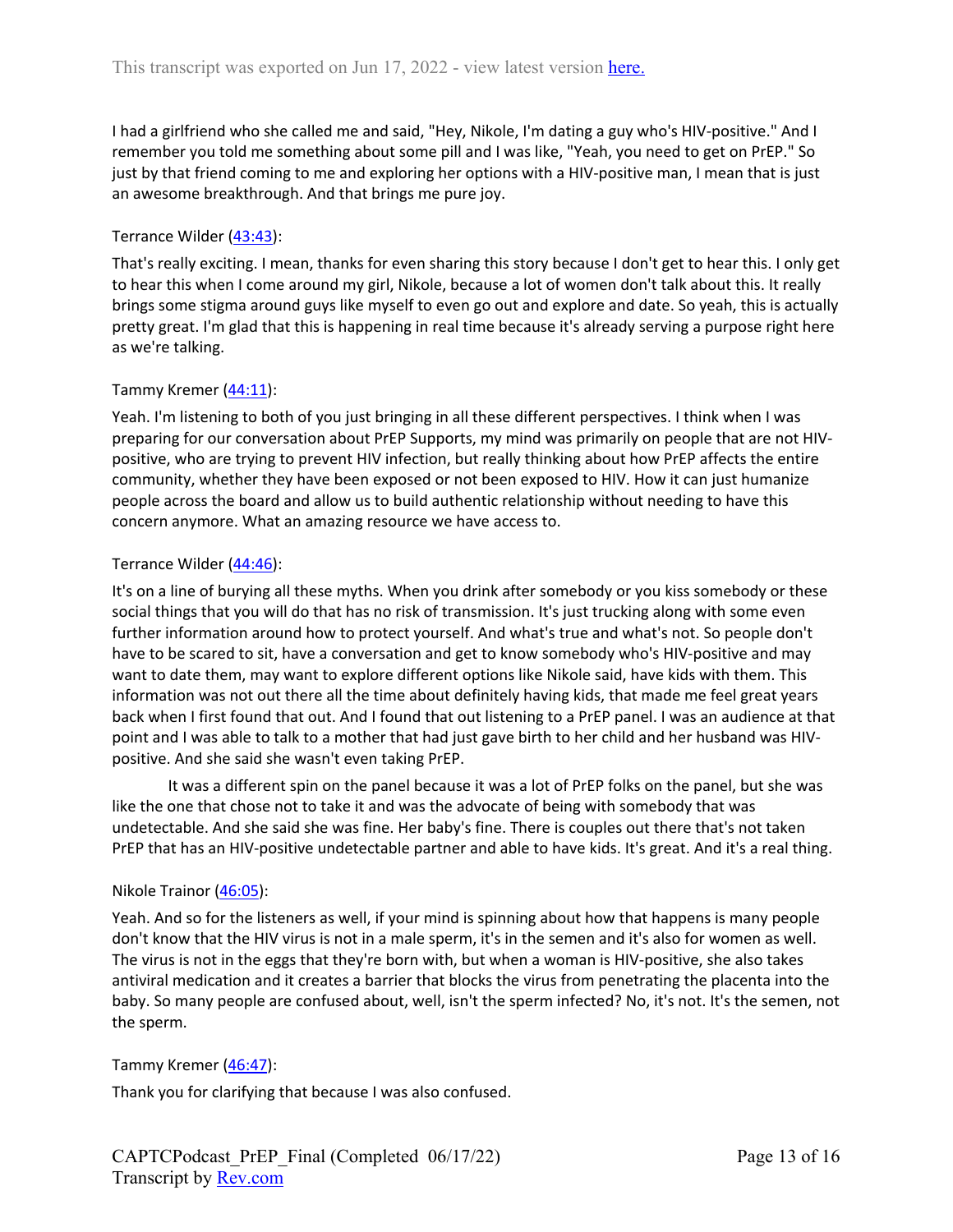I had a girlfriend who she called me and said, "Hey, Nikole, I'm dating a guy who's HIV-positive." And I remember you told me something about some pill and I was like, "Yeah, you need to get on PrEP." So just by that friend coming to me and exploring her options with a HIV-positive man, I mean that is just an awesome breakthrough. And that brings me pure joy.

## Terrance Wilder (43:43):

That's really exciting. I mean, thanks for even sharing this story because I don't get to hear this. I only get to hear this when I come around my girl, Nikole, because a lot of women don't talk about this. It really brings some stigma around guys like myself to even go out and explore and date. So yeah, this is actually pretty great. I'm glad that this is happening in real time because it's already serving a purpose right here as we're talking.

#### Tammy Kremer (44:11):

Yeah. I'm listening to both of you just bringing in all these different perspectives. I think when I was preparing for our conversation about PrEP Supports, my mind was primarily on people that are not HIVpositive, who are trying to prevent HIV infection, but really thinking about how PrEP affects the entire community, whether they have been exposed or not been exposed to HIV. How it can just humanize people across the board and allow us to build authentic relationship without needing to have this concern anymore. What an amazing resource we have access to.

#### Terrance Wilder (44:46):

It's on a line of burying all these myths. When you drink after somebody or you kiss somebody or these social things that you will do that has no risk of transmission. It's just trucking along with some even further information around how to protect yourself. And what's true and what's not. So people don't have to be scared to sit, have a conversation and get to know somebody who's HIV-positive and may want to date them, may want to explore different options like Nikole said, have kids with them. This information was not out there all the time about definitely having kids, that made me feel great years back when I first found that out. And I found that out listening to a PrEP panel. I was an audience at that point and I was able to talk to a mother that had just gave birth to her child and her husband was HIVpositive. And she said she wasn't even taking PrEP.

It was a different spin on the panel because it was a lot of PrEP folks on the panel, but she was like the one that chose not to take it and was the advocate of being with somebody that was undetectable. And she said she was fine. Her baby's fine. There is couples out there that's not taken PrEP that has an HIV-positive undetectable partner and able to have kids. It's great. And it's a real thing.

#### Nikole Trainor (46:05):

Yeah. And so for the listeners as well, if your mind is spinning about how that happens is many people don't know that the HIV virus is not in a male sperm, it's in the semen and it's also for women as well. The virus is not in the eggs that they're born with, but when a woman is HIV-positive, she also takes antiviral medication and it creates a barrier that blocks the virus from penetrating the placenta into the baby. So many people are confused about, well, isn't the sperm infected? No, it's not. It's the semen, not the sperm.

#### Tammy Kremer (46:47):

Thank you for clarifying that because I was also confused.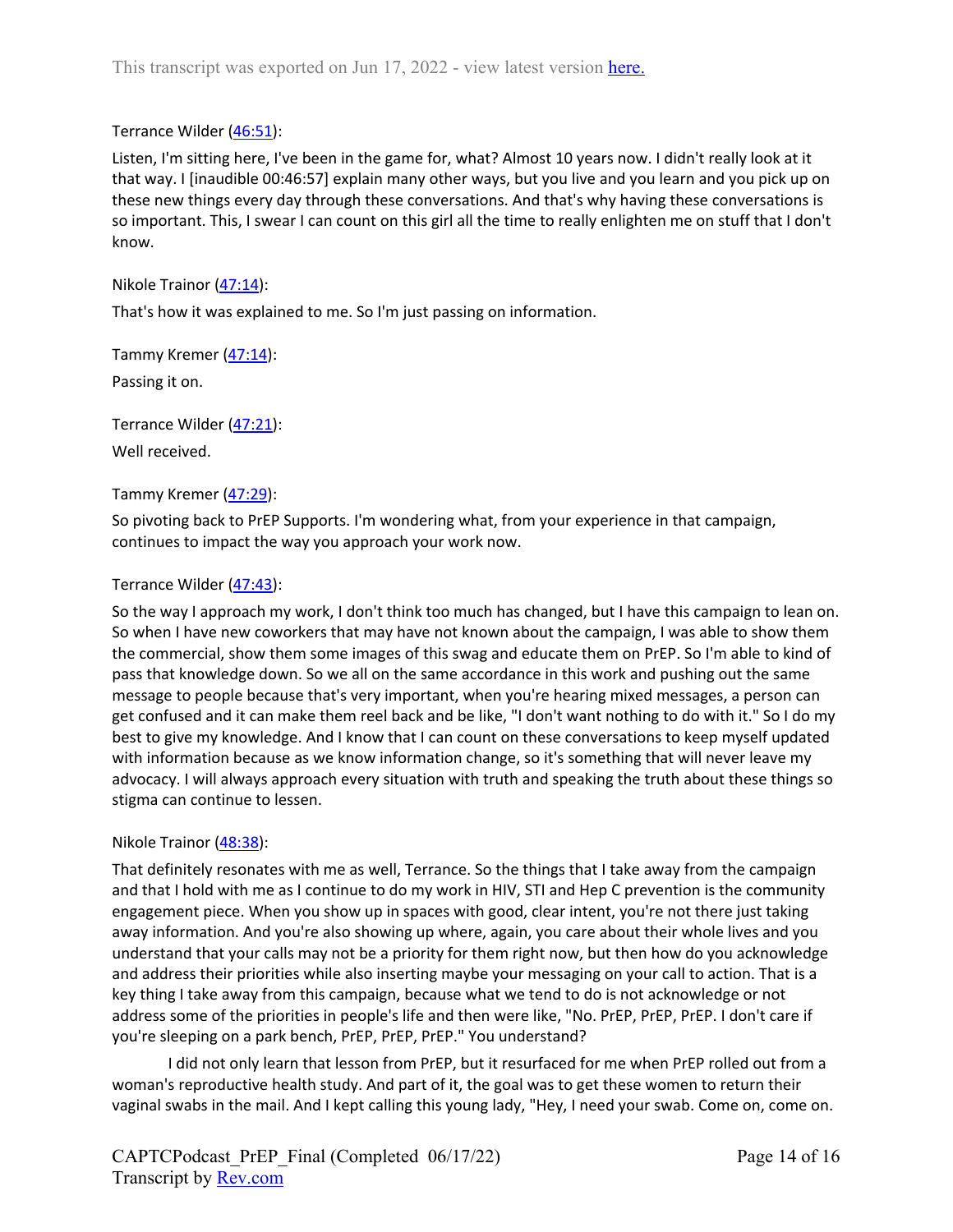# Terrance Wilder (46:51):

Listen, I'm sitting here, I've been in the game for, what? Almost 10 years now. I didn't really look at it that way. I [inaudible 00:46:57] explain many other ways, but you live and you learn and you pick up on these new things every day through these conversations. And that's why having these conversations is so important. This, I swear I can count on this girl all the time to really enlighten me on stuff that I don't know.

Nikole Trainor (47:14):

That's how it was explained to me. So I'm just passing on information.

Tammy Kremer (47:14): Passing it on.

Terrance Wilder (47:21):

Well received.

# Tammy Kremer (47:29):

So pivoting back to PrEP Supports. I'm wondering what, from your experience in that campaign, continues to impact the way you approach your work now.

## Terrance Wilder (47:43):

So the way I approach my work, I don't think too much has changed, but I have this campaign to lean on. So when I have new coworkers that may have not known about the campaign, I was able to show them the commercial, show them some images of this swag and educate them on PrEP. So I'm able to kind of pass that knowledge down. So we all on the same accordance in this work and pushing out the same message to people because that's very important, when you're hearing mixed messages, a person can get confused and it can make them reel back and be like, "I don't want nothing to do with it." So I do my best to give my knowledge. And I know that I can count on these conversations to keep myself updated with information because as we know information change, so it's something that will never leave my advocacy. I will always approach every situation with truth and speaking the truth about these things so stigma can continue to lessen.

#### Nikole Trainor (48:38):

That definitely resonates with me as well, Terrance. So the things that I take away from the campaign and that I hold with me as I continue to do my work in HIV, STI and Hep C prevention is the community engagement piece. When you show up in spaces with good, clear intent, you're not there just taking away information. And you're also showing up where, again, you care about their whole lives and you understand that your calls may not be a priority for them right now, but then how do you acknowledge and address their priorities while also inserting maybe your messaging on your call to action. That is a key thing I take away from this campaign, because what we tend to do is not acknowledge or not address some of the priorities in people's life and then were like, "No. PrEP, PrEP, PrEP. I don't care if you're sleeping on a park bench, PrEP, PrEP, PrEP." You understand?

I did not only learn that lesson from PrEP, but it resurfaced for me when PrEP rolled out from a woman's reproductive health study. And part of it, the goal was to get these women to return their vaginal swabs in the mail. And I kept calling this young lady, "Hey, I need your swab. Come on, come on.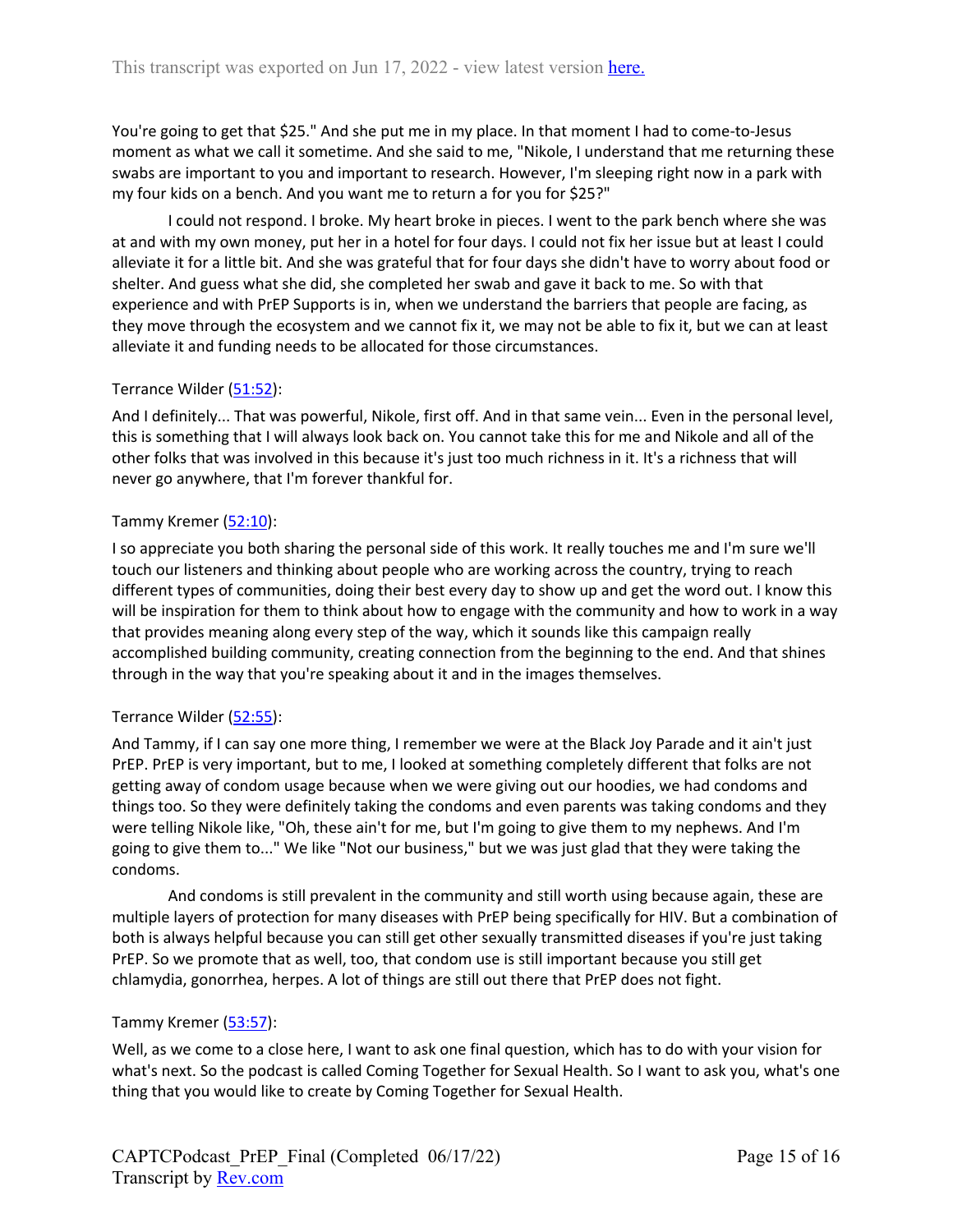You're going to get that \$25." And she put me in my place. In that moment I had to come-to-Jesus moment as what we call it sometime. And she said to me, "Nikole, I understand that me returning these swabs are important to you and important to research. However, I'm sleeping right now in a park with my four kids on a bench. And you want me to return a for you for \$25?"

I could not respond. I broke. My heart broke in pieces. I went to the park bench where she was at and with my own money, put her in a hotel for four days. I could not fix her issue but at least I could alleviate it for a little bit. And she was grateful that for four days she didn't have to worry about food or shelter. And guess what she did, she completed her swab and gave it back to me. So with that experience and with PrEP Supports is in, when we understand the barriers that people are facing, as they move through the ecosystem and we cannot fix it, we may not be able to fix it, but we can at least alleviate it and funding needs to be allocated for those circumstances.

# Terrance Wilder (51:52):

And I definitely... That was powerful, Nikole, first off. And in that same vein... Even in the personal level, this is something that I will always look back on. You cannot take this for me and Nikole and all of the other folks that was involved in this because it's just too much richness in it. It's a richness that will never go anywhere, that I'm forever thankful for.

## Tammy Kremer (52:10):

I so appreciate you both sharing the personal side of this work. It really touches me and I'm sure we'll touch our listeners and thinking about people who are working across the country, trying to reach different types of communities, doing their best every day to show up and get the word out. I know this will be inspiration for them to think about how to engage with the community and how to work in a way that provides meaning along every step of the way, which it sounds like this campaign really accomplished building community, creating connection from the beginning to the end. And that shines through in the way that you're speaking about it and in the images themselves.

#### Terrance Wilder (52:55):

And Tammy, if I can say one more thing, I remember we were at the Black Joy Parade and it ain't just PrEP. PrEP is very important, but to me, I looked at something completely different that folks are not getting away of condom usage because when we were giving out our hoodies, we had condoms and things too. So they were definitely taking the condoms and even parents was taking condoms and they were telling Nikole like, "Oh, these ain't for me, but I'm going to give them to my nephews. And I'm going to give them to..." We like "Not our business," but we was just glad that they were taking the condoms.

And condoms is still prevalent in the community and still worth using because again, these are multiple layers of protection for many diseases with PrEP being specifically for HIV. But a combination of both is always helpful because you can still get other sexually transmitted diseases if you're just taking PrEP. So we promote that as well, too, that condom use is still important because you still get chlamydia, gonorrhea, herpes. A lot of things are still out there that PrEP does not fight.

#### Tammy Kremer (53:57):

Well, as we come to a close here, I want to ask one final question, which has to do with your vision for what's next. So the podcast is called Coming Together for Sexual Health. So I want to ask you, what's one thing that you would like to create by Coming Together for Sexual Health.